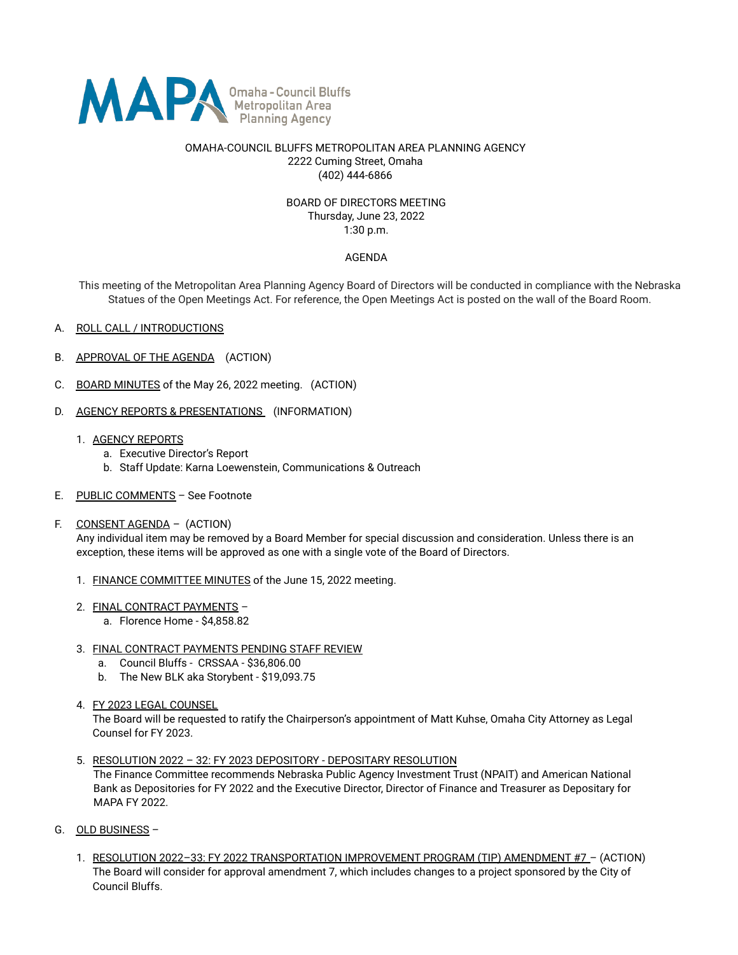

### OMAHA-COUNCIL BLUFFS METROPOLITAN AREA PLANNING AGENCY 2222 Cuming Street, Omaha (402) 444-6866

### BOARD OF DIRECTORS MEETING Thursday, June 23, 2022 1:30 p.m.

# AGENDA

This meeting of the Metropolitan Area Planning Agency Board of Directors will be conducted in compliance with the Nebraska Statues of the Open Meetings Act. For reference, the Open Meetings Act is posted on the wall of the Board Room.

- A. ROLL CALL / INTRODUCTIONS
- B. APPROVAL OF THE AGENDA (ACTION)
- C. BOARD MINUTES of the May 26, 2022 meeting. (ACTION)
- D. AGENCY REPORTS & PRESENTATIONS (INFORMATION)
	- 1. AGENCY REPORTS
		- a. Executive Director's Report
		- b. Staff Update: Karna Loewenstein, Communications & Outreach
- E. PUBLIC COMMENTS See Footnote
- F. CONSENT AGENDA (ACTION)

Any individual item may be removed by a Board Member for special discussion and consideration. Unless there is an exception, these items will be approved as one with a single vote of the Board of Directors.

- 1. FINANCE COMMITTEE MINUTES of the June 15, 2022 meeting.
- 2. FINAL CONTRACT PAYMENTS
	- a. Florence Home \$4,858.82
- 3. FINAL CONTRACT PAYMENTS PENDING STAFF REVIEW
	- a. Council Bluffs CRSSAA \$36,806.00
	- b. The New BLK aka Storybent \$19,093.75
- 4. FY 2023 LEGAL COUNSEL

The Board will be requested to ratify the Chairperson's appointment of Matt Kuhse, Omaha City Attorney as Legal Counsel for FY 2023.

5. RESOLUTION 2022 – 32: FY 2023 DEPOSITORY - DEPOSITARY RESOLUTION

The Finance Committee recommends Nebraska Public Agency Investment Trust (NPAIT) and American National Bank as Depositories for FY 2022 and the Executive Director, Director of Finance and Treasurer as Depositary for MAPA FY 2022.

- G. OLD BUSINESS
	- 1. RESOLUTION 2022-33: FY 2022 TRANSPORTATION IMPROVEMENT PROGRAM (TIP) AMENDMENT #7 (ACTION) The Board will consider for approval amendment 7, which includes changes to a project sponsored by the City of Council Bluffs.